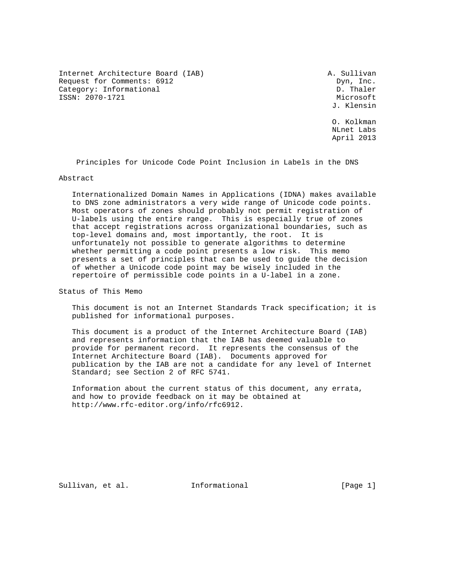Internet Architecture Board (IAB) A. Sullivan Request for Comments: 6912 Dyn, Inc.<br>
Category: Informational D. Thaler Category: Informational ISSN: 2070-1721 Microsoft

J. Klensin

 O. Kolkman NLnet Labs April 2013

Principles for Unicode Code Point Inclusion in Labels in the DNS

#### Abstract

 Internationalized Domain Names in Applications (IDNA) makes available to DNS zone administrators a very wide range of Unicode code points. Most operators of zones should probably not permit registration of U-labels using the entire range. This is especially true of zones that accept registrations across organizational boundaries, such as top-level domains and, most importantly, the root. It is unfortunately not possible to generate algorithms to determine whether permitting a code point presents a low risk. This memo presents a set of principles that can be used to guide the decision of whether a Unicode code point may be wisely included in the repertoire of permissible code points in a U-label in a zone.

Status of This Memo

 This document is not an Internet Standards Track specification; it is published for informational purposes.

 This document is a product of the Internet Architecture Board (IAB) and represents information that the IAB has deemed valuable to provide for permanent record. It represents the consensus of the Internet Architecture Board (IAB). Documents approved for publication by the IAB are not a candidate for any level of Internet Standard; see Section 2 of RFC 5741.

 Information about the current status of this document, any errata, and how to provide feedback on it may be obtained at http://www.rfc-editor.org/info/rfc6912.

Sullivan, et al. 1nformational 1999 [Page 1]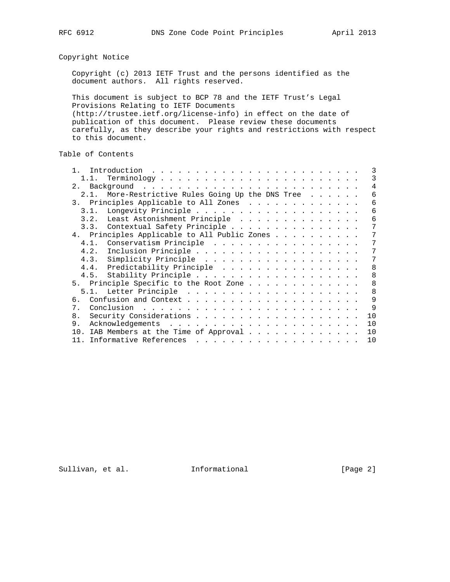Copyright Notice

 Copyright (c) 2013 IETF Trust and the persons identified as the document authors. All rights reserved.

 This document is subject to BCP 78 and the IETF Trust's Legal Provisions Relating to IETF Documents (http://trustee.ietf.org/license-info) in effect on the date of publication of this document. Please review these documents carefully, as they describe your rights and restrictions with respect to this document.

# Table of Contents

| 2.1. More-Restrictive Rules Going Up the DNS Tree                                                                                                                                                                                                              |  |  |  | 6            |
|----------------------------------------------------------------------------------------------------------------------------------------------------------------------------------------------------------------------------------------------------------------|--|--|--|--------------|
| 3. Principles Applicable to All Zones                                                                                                                                                                                                                          |  |  |  | 6            |
| 3.1.                                                                                                                                                                                                                                                           |  |  |  | 6            |
| 3.2. Least Astonishment Principle                                                                                                                                                                                                                              |  |  |  | 6            |
| 3.3. Contextual Safety Principle                                                                                                                                                                                                                               |  |  |  | 7            |
| 4. Principles Applicable to All Public Zones                                                                                                                                                                                                                   |  |  |  |              |
| 4.1. Conservatism Principle                                                                                                                                                                                                                                    |  |  |  |              |
|                                                                                                                                                                                                                                                                |  |  |  | 7            |
| 4.3. Simplicity Principle                                                                                                                                                                                                                                      |  |  |  | 7            |
| 4.4. Predictability Principle                                                                                                                                                                                                                                  |  |  |  | 8            |
|                                                                                                                                                                                                                                                                |  |  |  | 8            |
| 5. Principle Specific to the Root Zone                                                                                                                                                                                                                         |  |  |  | 8            |
|                                                                                                                                                                                                                                                                |  |  |  | 8            |
|                                                                                                                                                                                                                                                                |  |  |  | 9            |
| 7.                                                                                                                                                                                                                                                             |  |  |  | $\mathsf{Q}$ |
| 8.                                                                                                                                                                                                                                                             |  |  |  | 10           |
| 9.                                                                                                                                                                                                                                                             |  |  |  | 10           |
| IAB Members at the Time of Approval<br>10.                                                                                                                                                                                                                     |  |  |  | 10           |
| Informative References<br>and the contract of the contract of the contract of the contract of the contract of the contract of the contract of the contract of the contract of the contract of the contract of the contract of the contract of the contra<br>11 |  |  |  | 10           |
|                                                                                                                                                                                                                                                                |  |  |  |              |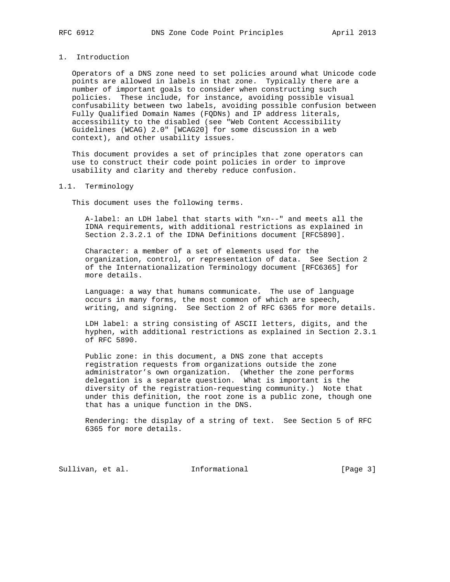## 1. Introduction

 Operators of a DNS zone need to set policies around what Unicode code points are allowed in labels in that zone. Typically there are a number of important goals to consider when constructing such policies. These include, for instance, avoiding possible visual confusability between two labels, avoiding possible confusion between Fully Qualified Domain Names (FQDNs) and IP address literals, accessibility to the disabled (see "Web Content Accessibility Guidelines (WCAG) 2.0" [WCAG20] for some discussion in a web context), and other usability issues.

 This document provides a set of principles that zone operators can use to construct their code point policies in order to improve usability and clarity and thereby reduce confusion.

## 1.1. Terminology

This document uses the following terms.

 A-label: an LDH label that starts with "xn--" and meets all the IDNA requirements, with additional restrictions as explained in Section 2.3.2.1 of the IDNA Definitions document [RFC5890].

 Character: a member of a set of elements used for the organization, control, or representation of data. See Section 2 of the Internationalization Terminology document [RFC6365] for more details.

 Language: a way that humans communicate. The use of language occurs in many forms, the most common of which are speech, writing, and signing. See Section 2 of RFC 6365 for more details.

 LDH label: a string consisting of ASCII letters, digits, and the hyphen, with additional restrictions as explained in Section 2.3.1 of RFC 5890.

 Public zone: in this document, a DNS zone that accepts registration requests from organizations outside the zone administrator's own organization. (Whether the zone performs delegation is a separate question. What is important is the diversity of the registration-requesting community.) Note that under this definition, the root zone is a public zone, though one that has a unique function in the DNS.

 Rendering: the display of a string of text. See Section 5 of RFC 6365 for more details.

Sullivan, et al. 1nformational 1999 [Page 3]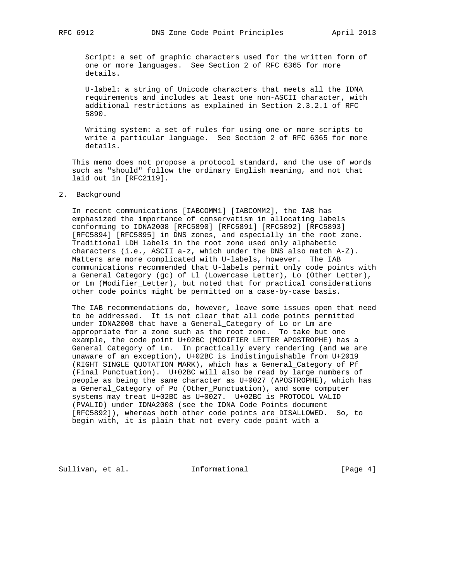Script: a set of graphic characters used for the written form of one or more languages. See Section 2 of RFC 6365 for more details.

 U-label: a string of Unicode characters that meets all the IDNA requirements and includes at least one non-ASCII character, with additional restrictions as explained in Section 2.3.2.1 of RFC 5890.

 Writing system: a set of rules for using one or more scripts to write a particular language. See Section 2 of RFC 6365 for more details.

 This memo does not propose a protocol standard, and the use of words such as "should" follow the ordinary English meaning, and not that laid out in [RFC2119].

## 2. Background

 In recent communications [IABCOMM1] [IABCOMM2], the IAB has emphasized the importance of conservatism in allocating labels conforming to IDNA2008 [RFC5890] [RFC5891] [RFC5892] [RFC5893] [RFC5894] [RFC5895] in DNS zones, and especially in the root zone. Traditional LDH labels in the root zone used only alphabetic characters (i.e., ASCII a-z, which under the DNS also match A-Z). Matters are more complicated with U-labels, however. The IAB communications recommended that U-labels permit only code points with a General\_Category (gc) of Ll (Lowercase\_Letter), Lo (Other\_Letter), or Lm (Modifier\_Letter), but noted that for practical considerations other code points might be permitted on a case-by-case basis.

 The IAB recommendations do, however, leave some issues open that need to be addressed. It is not clear that all code points permitted under IDNA2008 that have a General\_Category of Lo or Lm are appropriate for a zone such as the root zone. To take but one example, the code point U+02BC (MODIFIER LETTER APOSTROPHE) has a General\_Category of Lm. In practically every rendering (and we are unaware of an exception), U+02BC is indistinguishable from U+2019 (RIGHT SINGLE QUOTATION MARK), which has a General\_Category of Pf (Final\_Punctuation). U+02BC will also be read by large numbers of people as being the same character as U+0027 (APOSTROPHE), which has a General\_Category of Po (Other\_Punctuation), and some computer systems may treat U+02BC as U+0027. U+02BC is PROTOCOL VALID (PVALID) under IDNA2008 (see the IDNA Code Points document [RFC5892]), whereas both other code points are DISALLOWED. So, to begin with, it is plain that not every code point with a

Sullivan, et al. 1nformational 1999 [Page 4]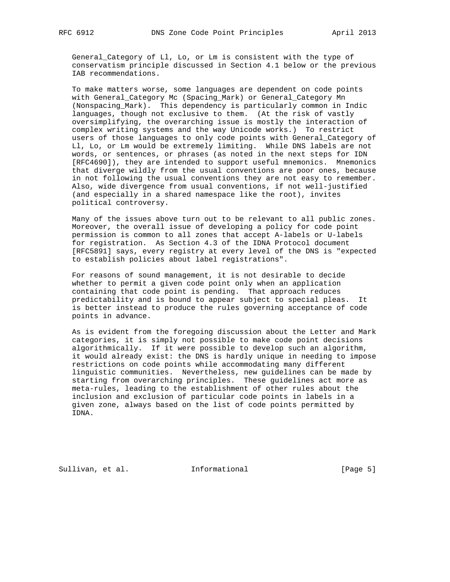General\_Category of Ll, Lo, or Lm is consistent with the type of conservatism principle discussed in Section 4.1 below or the previous IAB recommendations.

 To make matters worse, some languages are dependent on code points with General\_Category Mc (Spacing\_Mark) or General\_Category Mn (Nonspacing\_Mark). This dependency is particularly common in Indic languages, though not exclusive to them. (At the risk of vastly oversimplifying, the overarching issue is mostly the interaction of complex writing systems and the way Unicode works.) To restrict users of those languages to only code points with General\_Category of Ll, Lo, or Lm would be extremely limiting. While DNS labels are not words, or sentences, or phrases (as noted in the next steps for IDN [RFC4690]), they are intended to support useful mnemonics. Mnemonics that diverge wildly from the usual conventions are poor ones, because in not following the usual conventions they are not easy to remember. Also, wide divergence from usual conventions, if not well-justified (and especially in a shared namespace like the root), invites political controversy.

 Many of the issues above turn out to be relevant to all public zones. Moreover, the overall issue of developing a policy for code point permission is common to all zones that accept A-labels or U-labels for registration. As Section 4.3 of the IDNA Protocol document [RFC5891] says, every registry at every level of the DNS is "expected to establish policies about label registrations".

 For reasons of sound management, it is not desirable to decide whether to permit a given code point only when an application containing that code point is pending. That approach reduces predictability and is bound to appear subject to special pleas. It is better instead to produce the rules governing acceptance of code points in advance.

 As is evident from the foregoing discussion about the Letter and Mark categories, it is simply not possible to make code point decisions algorithmically. If it were possible to develop such an algorithm, it would already exist: the DNS is hardly unique in needing to impose restrictions on code points while accommodating many different linguistic communities. Nevertheless, new guidelines can be made by starting from overarching principles. These guidelines act more as meta-rules, leading to the establishment of other rules about the inclusion and exclusion of particular code points in labels in a given zone, always based on the list of code points permitted by IDNA.

Sullivan, et al. 1nformational 1999 [Page 5]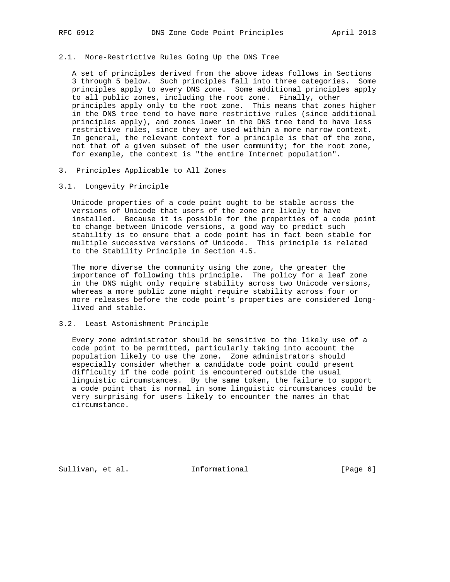### 2.1. More-Restrictive Rules Going Up the DNS Tree

 A set of principles derived from the above ideas follows in Sections 3 through 5 below. Such principles fall into three categories. Some principles apply to every DNS zone. Some additional principles apply to all public zones, including the root zone. Finally, other principles apply only to the root zone. This means that zones higher in the DNS tree tend to have more restrictive rules (since additional principles apply), and zones lower in the DNS tree tend to have less restrictive rules, since they are used within a more narrow context. In general, the relevant context for a principle is that of the zone, not that of a given subset of the user community; for the root zone, for example, the context is "the entire Internet population".

- 3. Principles Applicable to All Zones
- 3.1. Longevity Principle

 Unicode properties of a code point ought to be stable across the versions of Unicode that users of the zone are likely to have installed. Because it is possible for the properties of a code point to change between Unicode versions, a good way to predict such stability is to ensure that a code point has in fact been stable for multiple successive versions of Unicode. This principle is related to the Stability Principle in Section 4.5.

 The more diverse the community using the zone, the greater the importance of following this principle. The policy for a leaf zone in the DNS might only require stability across two Unicode versions, whereas a more public zone might require stability across four or more releases before the code point's properties are considered long lived and stable.

## 3.2. Least Astonishment Principle

 Every zone administrator should be sensitive to the likely use of a code point to be permitted, particularly taking into account the population likely to use the zone. Zone administrators should especially consider whether a candidate code point could present difficulty if the code point is encountered outside the usual linguistic circumstances. By the same token, the failure to support a code point that is normal in some linguistic circumstances could be very surprising for users likely to encounter the names in that circumstance.

Sullivan, et al. 1nformational (Page 6)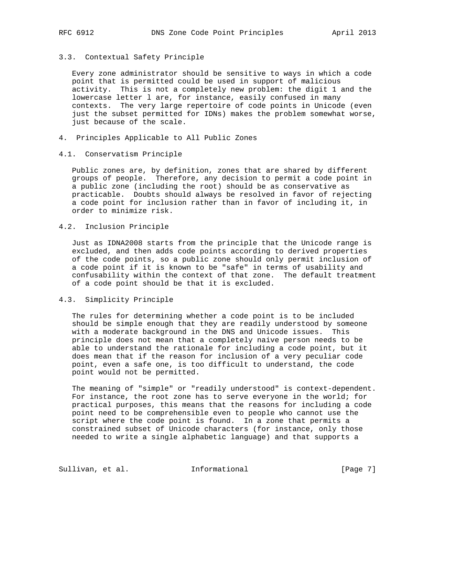# 3.3. Contextual Safety Principle

 Every zone administrator should be sensitive to ways in which a code point that is permitted could be used in support of malicious activity. This is not a completely new problem: the digit 1 and the lowercase letter l are, for instance, easily confused in many contexts. The very large repertoire of code points in Unicode (even just the subset permitted for IDNs) makes the problem somewhat worse, just because of the scale.

4. Principles Applicable to All Public Zones

#### 4.1. Conservatism Principle

 Public zones are, by definition, zones that are shared by different groups of people. Therefore, any decision to permit a code point in a public zone (including the root) should be as conservative as practicable. Doubts should always be resolved in favor of rejecting a code point for inclusion rather than in favor of including it, in order to minimize risk.

## 4.2. Inclusion Principle

 Just as IDNA2008 starts from the principle that the Unicode range is excluded, and then adds code points according to derived properties of the code points, so a public zone should only permit inclusion of a code point if it is known to be "safe" in terms of usability and confusability within the context of that zone. The default treatment of a code point should be that it is excluded.

## 4.3. Simplicity Principle

 The rules for determining whether a code point is to be included should be simple enough that they are readily understood by someone with a moderate background in the DNS and Unicode issues. This principle does not mean that a completely naive person needs to be able to understand the rationale for including a code point, but it does mean that if the reason for inclusion of a very peculiar code point, even a safe one, is too difficult to understand, the code point would not be permitted.

 The meaning of "simple" or "readily understood" is context-dependent. For instance, the root zone has to serve everyone in the world; for practical purposes, this means that the reasons for including a code point need to be comprehensible even to people who cannot use the script where the code point is found. In a zone that permits a constrained subset of Unicode characters (for instance, only those needed to write a single alphabetic language) and that supports a

Sullivan, et al. 1nformational 1999 [Page 7]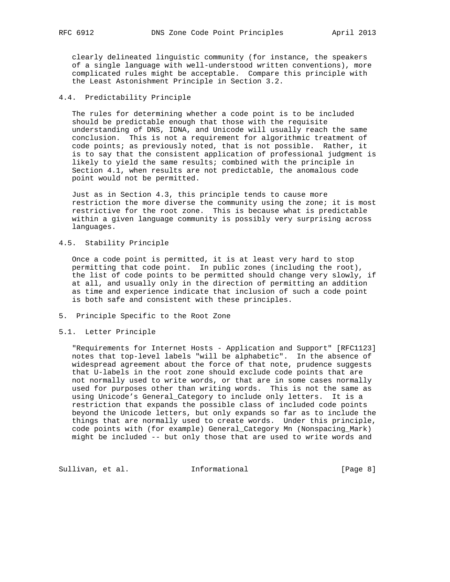clearly delineated linguistic community (for instance, the speakers of a single language with well-understood written conventions), more complicated rules might be acceptable. Compare this principle with the Least Astonishment Principle in Section 3.2.

## 4.4. Predictability Principle

 The rules for determining whether a code point is to be included should be predictable enough that those with the requisite understanding of DNS, IDNA, and Unicode will usually reach the same conclusion. This is not a requirement for algorithmic treatment of code points; as previously noted, that is not possible. Rather, it is to say that the consistent application of professional judgment is likely to yield the same results; combined with the principle in Section 4.1, when results are not predictable, the anomalous code point would not be permitted.

 Just as in Section 4.3, this principle tends to cause more restriction the more diverse the community using the zone; it is most restrictive for the root zone. This is because what is predictable within a given language community is possibly very surprising across languages.

# 4.5. Stability Principle

 Once a code point is permitted, it is at least very hard to stop permitting that code point. In public zones (including the root), the list of code points to be permitted should change very slowly, if at all, and usually only in the direction of permitting an addition as time and experience indicate that inclusion of such a code point is both safe and consistent with these principles.

## 5. Principle Specific to the Root Zone

## 5.1. Letter Principle

 "Requirements for Internet Hosts - Application and Support" [RFC1123] notes that top-level labels "will be alphabetic". In the absence of widespread agreement about the force of that note, prudence suggests that U-labels in the root zone should exclude code points that are not normally used to write words, or that are in some cases normally used for purposes other than writing words. This is not the same as using Unicode's General\_Category to include only letters. It is a restriction that expands the possible class of included code points beyond the Unicode letters, but only expands so far as to include the things that are normally used to create words. Under this principle, code points with (for example) General\_Category Mn (Nonspacing\_Mark) might be included -- but only those that are used to write words and

Sullivan, et al. 1nformational 1999 [Page 8]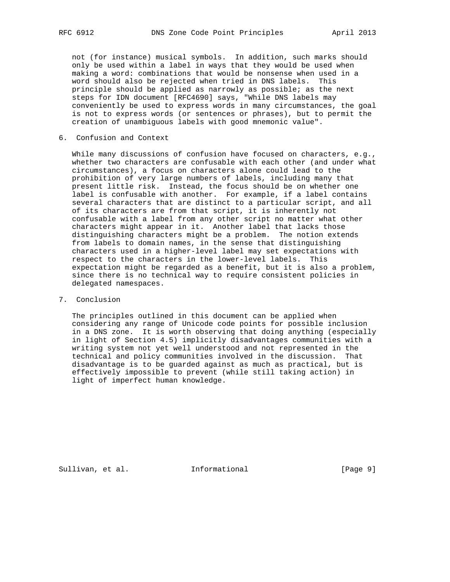not (for instance) musical symbols. In addition, such marks should only be used within a label in ways that they would be used when making a word: combinations that would be nonsense when used in a word should also be rejected when tried in DNS labels. This principle should be applied as narrowly as possible; as the next steps for IDN document [RFC4690] says, "While DNS labels may conveniently be used to express words in many circumstances, the goal is not to express words (or sentences or phrases), but to permit the creation of unambiguous labels with good mnemonic value".

6. Confusion and Context

While many discussions of confusion have focused on characters, e.g., whether two characters are confusable with each other (and under what circumstances), a focus on characters alone could lead to the prohibition of very large numbers of labels, including many that present little risk. Instead, the focus should be on whether one label is confusable with another. For example, if a label contains several characters that are distinct to a particular script, and all of its characters are from that script, it is inherently not confusable with a label from any other script no matter what other characters might appear in it. Another label that lacks those distinguishing characters might be a problem. The notion extends from labels to domain names, in the sense that distinguishing characters used in a higher-level label may set expectations with respect to the characters in the lower-level labels. This expectation might be regarded as a benefit, but it is also a problem, since there is no technical way to require consistent policies in delegated namespaces.

## 7. Conclusion

 The principles outlined in this document can be applied when considering any range of Unicode code points for possible inclusion in a DNS zone. It is worth observing that doing anything (especially in light of Section 4.5) implicitly disadvantages communities with a writing system not yet well understood and not represented in the technical and policy communities involved in the discussion. That disadvantage is to be guarded against as much as practical, but is effectively impossible to prevent (while still taking action) in light of imperfect human knowledge.

Sullivan, et al. 1nformational 1999 [Page 9]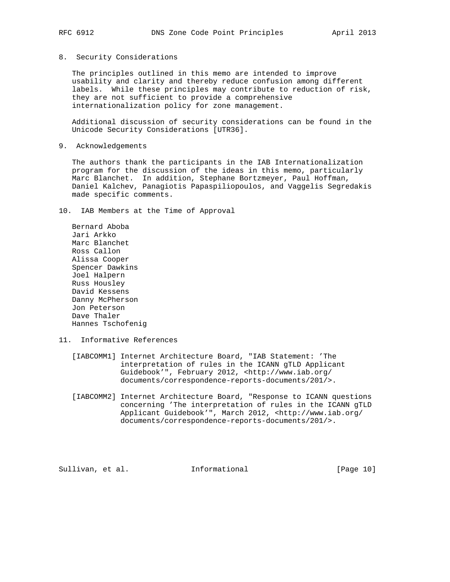## 8. Security Considerations

 The principles outlined in this memo are intended to improve usability and clarity and thereby reduce confusion among different labels. While these principles may contribute to reduction of risk, they are not sufficient to provide a comprehensive internationalization policy for zone management.

 Additional discussion of security considerations can be found in the Unicode Security Considerations [UTR36].

9. Acknowledgements

 The authors thank the participants in the IAB Internationalization program for the discussion of the ideas in this memo, particularly Marc Blanchet. In addition, Stephane Bortzmeyer, Paul Hoffman, Daniel Kalchev, Panagiotis Papaspiliopoulos, and Vaggelis Segredakis made specific comments.

10. IAB Members at the Time of Approval

 Bernard Aboba Jari Arkko Marc Blanchet Ross Callon Alissa Cooper Spencer Dawkins Joel Halpern Russ Housley David Kessens Danny McPherson Jon Peterson Dave Thaler Hannes Tschofenig

- 11. Informative References
	- [IABCOMM1] Internet Architecture Board, "IAB Statement: 'The interpretation of rules in the ICANN gTLD Applicant Guidebook'", February 2012, <http://www.iab.org/ documents/correspondence-reports-documents/201/>.
	- [IABCOMM2] Internet Architecture Board, "Response to ICANN questions concerning 'The interpretation of rules in the ICANN gTLD Applicant Guidebook'", March 2012, <http://www.iab.org/ documents/correspondence-reports-documents/201/>.

Sullivan, et al. 1nformational [Page 10]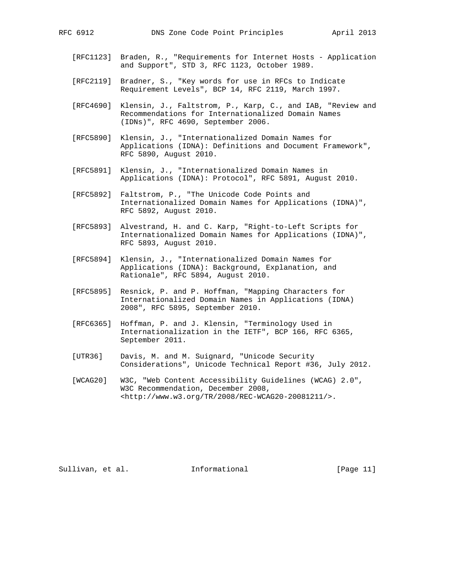- [RFC1123] Braden, R., "Requirements for Internet Hosts Application and Support", STD 3, RFC 1123, October 1989.
- [RFC2119] Bradner, S., "Key words for use in RFCs to Indicate Requirement Levels", BCP 14, RFC 2119, March 1997.
- [RFC4690] Klensin, J., Faltstrom, P., Karp, C., and IAB, "Review and Recommendations for Internationalized Domain Names (IDNs)", RFC 4690, September 2006.
- [RFC5890] Klensin, J., "Internationalized Domain Names for Applications (IDNA): Definitions and Document Framework", RFC 5890, August 2010.
- [RFC5891] Klensin, J., "Internationalized Domain Names in Applications (IDNA): Protocol", RFC 5891, August 2010.
- [RFC5892] Faltstrom, P., "The Unicode Code Points and Internationalized Domain Names for Applications (IDNA)", RFC 5892, August 2010.
- [RFC5893] Alvestrand, H. and C. Karp, "Right-to-Left Scripts for Internationalized Domain Names for Applications (IDNA)", RFC 5893, August 2010.
- [RFC5894] Klensin, J., "Internationalized Domain Names for Applications (IDNA): Background, Explanation, and Rationale", RFC 5894, August 2010.
- [RFC5895] Resnick, P. and P. Hoffman, "Mapping Characters for Internationalized Domain Names in Applications (IDNA) 2008", RFC 5895, September 2010.
- [RFC6365] Hoffman, P. and J. Klensin, "Terminology Used in Internationalization in the IETF", BCP 166, RFC 6365, September 2011.
- [UTR36] Davis, M. and M. Suignard, "Unicode Security Considerations", Unicode Technical Report #36, July 2012.
- [WCAG20] W3C, "Web Content Accessibility Guidelines (WCAG) 2.0", W3C Recommendation, December 2008, <http://www.w3.org/TR/2008/REC-WCAG20-20081211/>.

Sullivan, et al. 1nformational [Page 11]